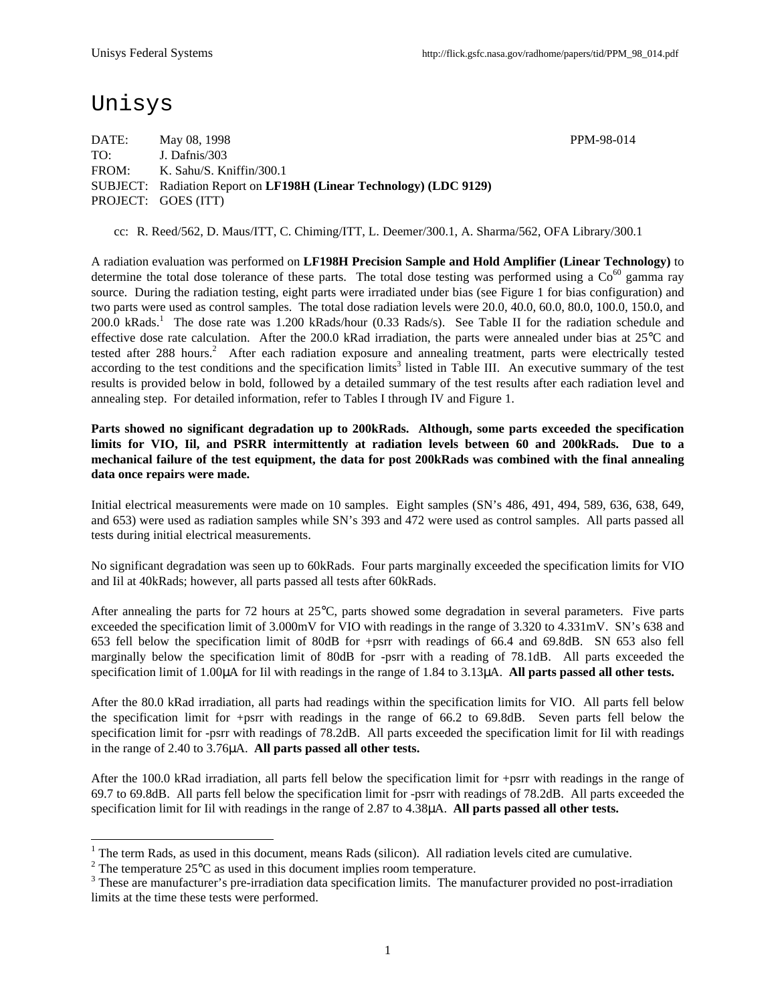## Unisys

DATE: May 08, 1998 PPM-98-014 TO: J. Dafnis/303 FROM: K. Sahu/S. Kniffin/300.1 SUBJECT: Radiation Report on **LF198H (Linear Technology) (LDC 9129)** PROJECT: GOES (ITT)

cc: R. Reed/562, D. Maus/ITT, C. Chiming/ITT, L. Deemer/300.1, A. Sharma/562, OFA Library/300.1

A radiation evaluation was performed on **LF198H Precision Sample and Hold Amplifier (Linear Technology)** to determine the total dose tolerance of these parts. The total dose testing was performed using a  $\text{Co}^{60}$  gamma ray source. During the radiation testing, eight parts were irradiated under bias (see Figure 1 for bias configuration) and two parts were used as control samples. The total dose radiation levels were 20.0, 40.0, 60.0, 80.0, 100.0, 150.0, and 200.0 kRads.<sup>1</sup> The dose rate was 1.200 kRads/hour (0.33 Rads/s). See Table II for the radiation schedule and effective dose rate calculation. After the 200.0 kRad irradiation, the parts were annealed under bias at 25°C and tested after 288 hours.<sup>2</sup> After each radiation exposure and annealing treatment, parts were electrically tested according to the test conditions and the specification limits<sup>3</sup> listed in Table III. An executive summary of the test results is provided below in bold, followed by a detailed summary of the test results after each radiation level and annealing step. For detailed information, refer to Tables I through IV and Figure 1.

**Parts showed no significant degradation up to 200kRads. Although, some parts exceeded the specification limits for VIO, Iil, and PSRR intermittently at radiation levels between 60 and 200kRads. Due to a mechanical failure of the test equipment, the data for post 200kRads was combined with the final annealing data once repairs were made.**

Initial electrical measurements were made on 10 samples. Eight samples (SN's 486, 491, 494, 589, 636, 638, 649, and 653) were used as radiation samples while SN's 393 and 472 were used as control samples. All parts passed all tests during initial electrical measurements.

No significant degradation was seen up to 60kRads. Four parts marginally exceeded the specification limits for VIO and Iil at 40kRads; however, all parts passed all tests after 60kRads.

After annealing the parts for 72 hours at 25°C, parts showed some degradation in several parameters. Five parts exceeded the specification limit of 3.000mV for VIO with readings in the range of 3.320 to 4.331mV. SN's 638 and 653 fell below the specification limit of 80dB for +psrr with readings of 66.4 and 69.8dB. SN 653 also fell marginally below the specification limit of 80dB for -psrr with a reading of 78.1dB. All parts exceeded the specification limit of 1.00μA for Iil with readings in the range of 1.84 to 3.13μA. **All parts passed all other tests.**

After the 80.0 kRad irradiation, all parts had readings within the specification limits for VIO. All parts fell below the specification limit for +psrr with readings in the range of 66.2 to 69.8dB. Seven parts fell below the specification limit for -psrr with readings of 78.2dB. All parts exceeded the specification limit for Iil with readings in the range of 2.40 to 3.76μA. **All parts passed all other tests.**

After the 100.0 kRad irradiation, all parts fell below the specification limit for +psrr with readings in the range of 69.7 to 69.8dB. All parts fell below the specification limit for -psrr with readings of 78.2dB. All parts exceeded the specification limit for Iil with readings in the range of 2.87 to 4.38μA. **All parts passed all other tests.**

<sup>&</sup>lt;sup>1</sup> The term Rads, as used in this document, means Rads (silicon). All radiation levels cited are cumulative.

<sup>&</sup>lt;sup>2</sup> The temperature 25 $\rm{°C}$  as used in this document implies room temperature.

 $3$  These are manufacturer's pre-irradiation data specification limits. The manufacturer provided no post-irradiation limits at the time these tests were performed.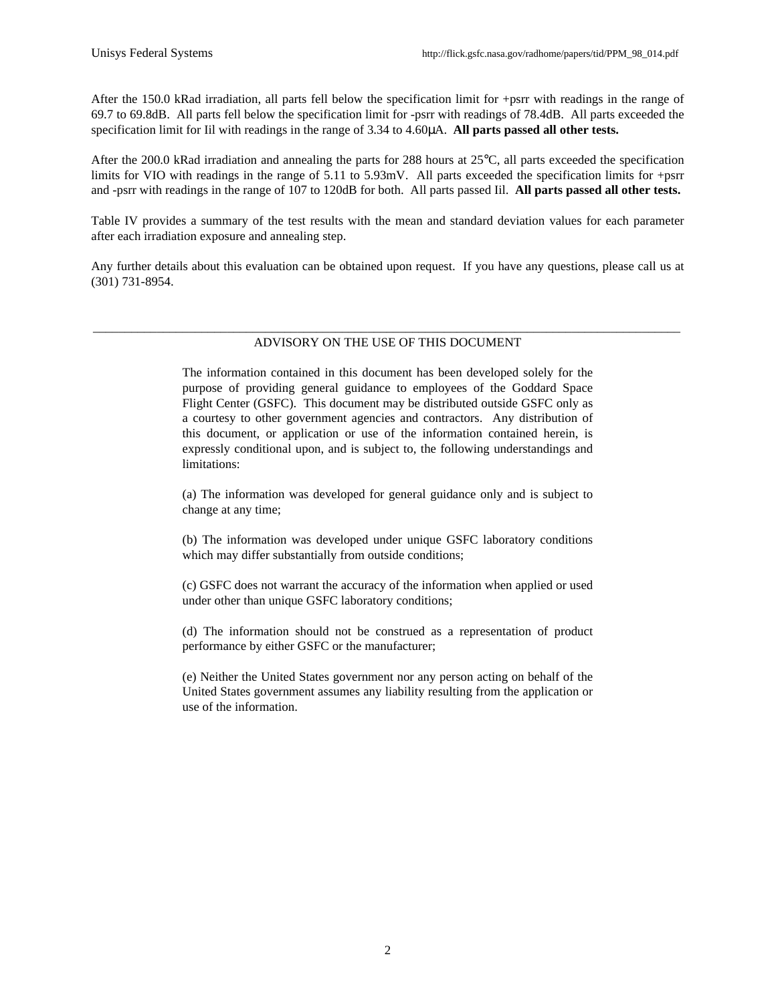After the 150.0 kRad irradiation, all parts fell below the specification limit for +psrr with readings in the range of 69.7 to 69.8dB. All parts fell below the specification limit for -psrr with readings of 78.4dB. All parts exceeded the specification limit for Iil with readings in the range of 3.34 to 4.60μA. **All parts passed all other tests.**

After the 200.0 kRad irradiation and annealing the parts for 288 hours at 25°C, all parts exceeded the specification limits for VIO with readings in the range of 5.11 to 5.93mV. All parts exceeded the specification limits for +psrr and -psrr with readings in the range of 107 to 120dB for both. All parts passed Iil. **All parts passed all other tests.**

Table IV provides a summary of the test results with the mean and standard deviation values for each parameter after each irradiation exposure and annealing step.

Any further details about this evaluation can be obtained upon request. If you have any questions, please call us at (301) 731-8954.

#### \_\_\_\_\_\_\_\_\_\_\_\_\_\_\_\_\_\_\_\_\_\_\_\_\_\_\_\_\_\_\_\_\_\_\_\_\_\_\_\_\_\_\_\_\_\_\_\_\_\_\_\_\_\_\_\_\_\_\_\_\_\_\_\_\_\_\_\_\_\_\_\_\_\_\_\_\_\_\_\_\_\_\_\_\_\_\_\_\_\_\_\_ ADVISORY ON THE USE OF THIS DOCUMENT

The information contained in this document has been developed solely for the purpose of providing general guidance to employees of the Goddard Space Flight Center (GSFC). This document may be distributed outside GSFC only as a courtesy to other government agencies and contractors. Any distribution of this document, or application or use of the information contained herein, is expressly conditional upon, and is subject to, the following understandings and limitations:

(a) The information was developed for general guidance only and is subject to change at any time;

(b) The information was developed under unique GSFC laboratory conditions which may differ substantially from outside conditions;

(c) GSFC does not warrant the accuracy of the information when applied or used under other than unique GSFC laboratory conditions;

(d) The information should not be construed as a representation of product performance by either GSFC or the manufacturer;

(e) Neither the United States government nor any person acting on behalf of the United States government assumes any liability resulting from the application or use of the information.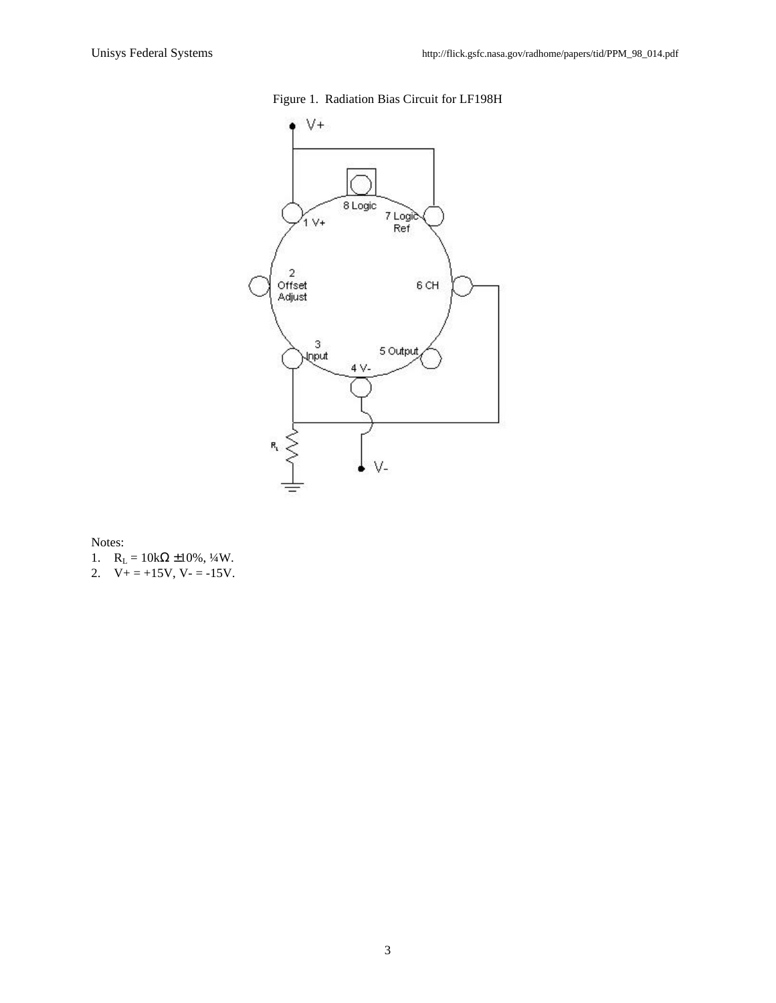

### Figure 1. Radiation Bias Circuit for LF198H

Notes:

- 1.  $R_L = 10k\Omega \pm 10\%, \frac{1}{4}W$ .
- 2.  $V_+ = +15V$ ,  $V_- = -15V$ .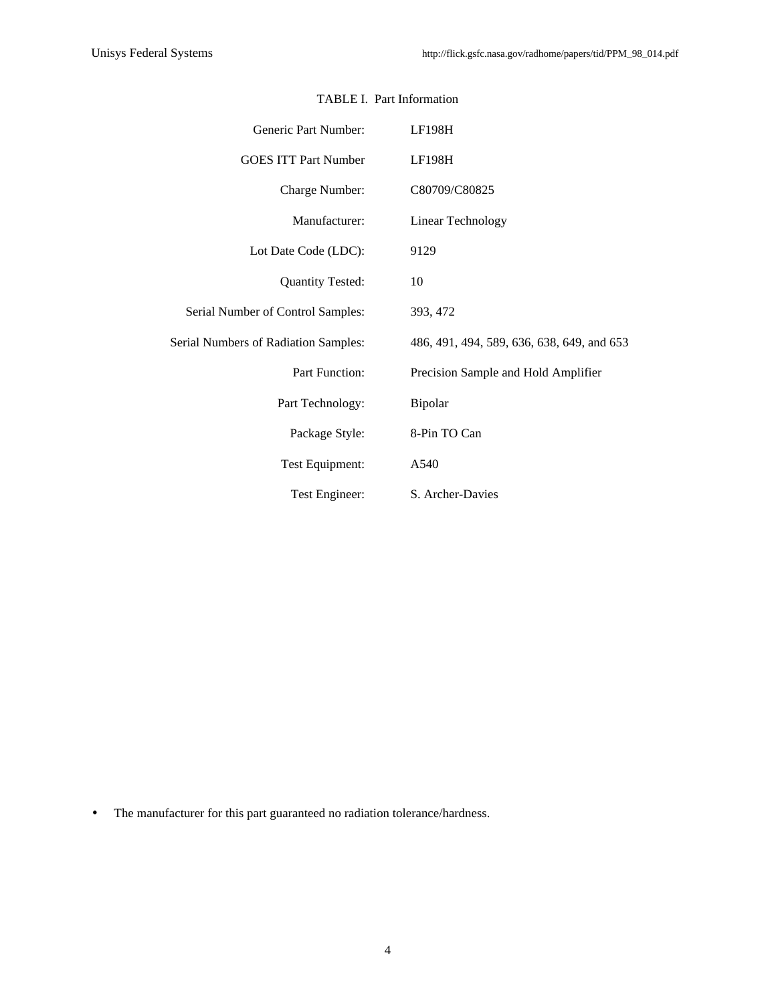| Generic Part Number:                 | LF198H                                     |
|--------------------------------------|--------------------------------------------|
| <b>GOES ITT Part Number</b>          | LF198H                                     |
| Charge Number:                       | C80709/C80825                              |
| Manufacturer:                        | Linear Technology                          |
| Lot Date Code (LDC):                 | 9129                                       |
| <b>Quantity Tested:</b>              | 10                                         |
| Serial Number of Control Samples:    | 393, 472                                   |
| Serial Numbers of Radiation Samples: | 486, 491, 494, 589, 636, 638, 649, and 653 |
| Part Function:                       | Precision Sample and Hold Amplifier        |
| Part Technology:                     | Bipolar                                    |
| Package Style:                       | 8-Pin TO Can                               |
| Test Equipment:                      | A540                                       |
| Test Engineer:                       | S. Archer-Davies                           |

#### TABLE I. Part Information

• The manufacturer for this part guaranteed no radiation tolerance/hardness.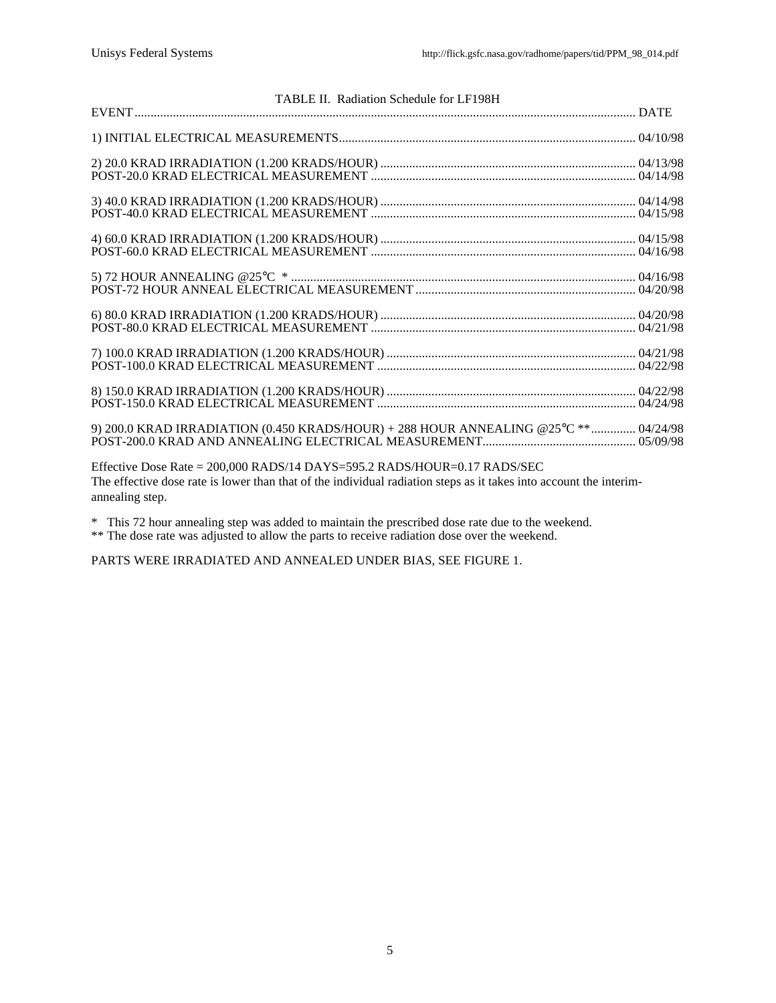| TABLE II. Radiation Schedule for LF198H                                                                            |  |
|--------------------------------------------------------------------------------------------------------------------|--|
|                                                                                                                    |  |
|                                                                                                                    |  |
|                                                                                                                    |  |
|                                                                                                                    |  |
|                                                                                                                    |  |
|                                                                                                                    |  |
|                                                                                                                    |  |
|                                                                                                                    |  |
|                                                                                                                    |  |
|                                                                                                                    |  |
|                                                                                                                    |  |
|                                                                                                                    |  |
|                                                                                                                    |  |
|                                                                                                                    |  |
|                                                                                                                    |  |
|                                                                                                                    |  |
|                                                                                                                    |  |
|                                                                                                                    |  |
|                                                                                                                    |  |
| 9) 200.0 KRAD IRRADIATION (0.450 KRADS/HOUR) + 288 HOUR ANNEALING @25°C ** 04/24/98                                |  |
|                                                                                                                    |  |
|                                                                                                                    |  |
| Effective Dose Rate = 200,000 RADS/14 DAYS=595.2 RADS/HOUR=0.17 RADS/SEC                                           |  |
| The effective dose rate is lower than that of the individual radiation steps as it takes into account the interim- |  |
| annealing step.                                                                                                    |  |

\* This 72 hour annealing step was added to maintain the prescribed dose rate due to the weekend.

\*\* The dose rate was adjusted to allow the parts to receive radiation dose over the weekend.

PARTS WERE IRRADIATED AND ANNEALED UNDER BIAS, SEE FIGURE 1.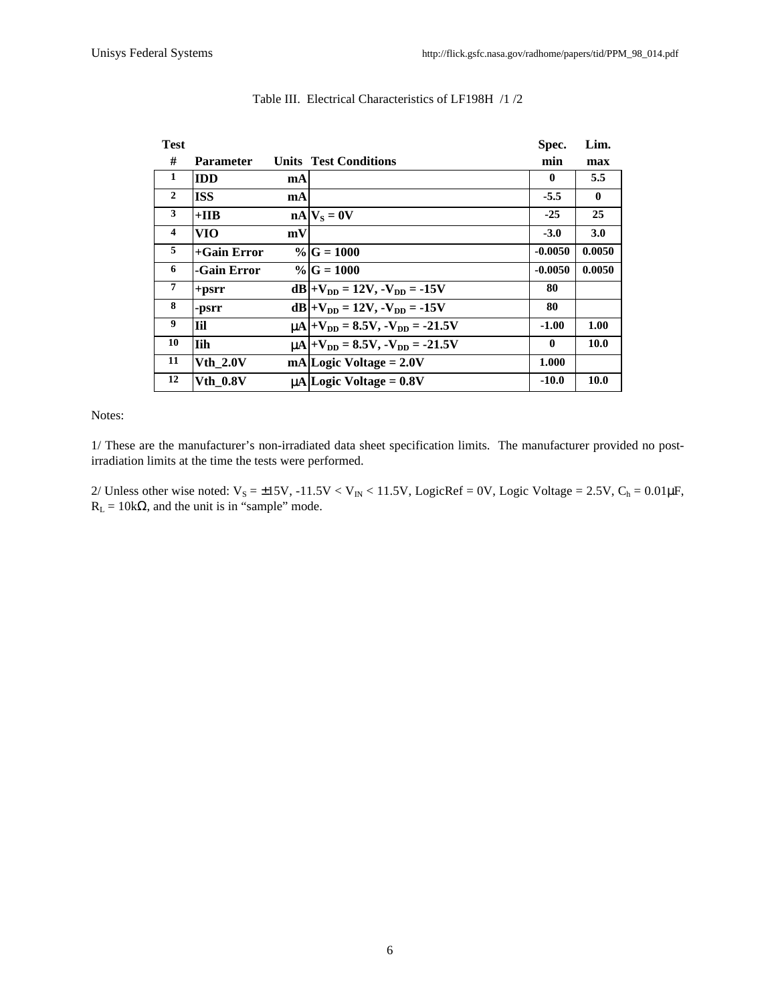| <b>Test</b>        |                 |    |                                                              | Spec.        | Lim.         |
|--------------------|-----------------|----|--------------------------------------------------------------|--------------|--------------|
| #                  | Parameter       |    | <b>Units Test Conditions</b>                                 | min          | max          |
| 1                  | <b>IDD</b>      | mA |                                                              | $\mathbf{0}$ | 5.5          |
| $\mathbf{2}$       | <b>ISS</b>      | mA |                                                              | $-5.5$       | $\mathbf{0}$ |
| 3                  | $+IIB$          |    | $nA V_s = 0V$                                                | $-25$        | 25           |
| $\overline{\bf 4}$ | VIO             | mV |                                                              | $-3.0$       | 3.0          |
| 5                  | $+$ Gain Error  |    | $\%$ G = 1000                                                | $-0.0050$    | 0.0050       |
| 6                  | -Gain Error     |    | $\% G=1000$                                                  | $-0.0050$    | 0.0050       |
| 7                  | $+$ psrr        |    | $dB +V_{DD} = 12V, -V_{DD} = -15V$                           | 80           |              |
| 8                  | -psrr           |    | $dB +V_{DD} = 12V, -V_{DD} = -15V$                           | 80           |              |
| 9                  | Iil             |    | $\mu$ A + V <sub>DD</sub> = 8.5V, - V <sub>DD</sub> = -21.5V | $-1.00$      | 1.00         |
| 10                 | <b>Tih</b>      |    | $\mu$ A + V <sub>DD</sub> = 8.5V, - V <sub>DD</sub> = -21.5V | $\mathbf{0}$ | <b>10.0</b>  |
| 11                 | <b>Vth 2.0V</b> |    | $mA Logic Voltage = 2.0V$                                    | 1.000        |              |
| 12                 | <b>Vth 0.8V</b> |    | $\mu$ A Logic Voltage = 0.8V                                 | $-10.0$      | <b>10.0</b>  |

#### Table III. Electrical Characteristics of LF198H /1 /2

#### Notes:

1/ These are the manufacturer's non-irradiated data sheet specification limits. The manufacturer provided no postirradiation limits at the time the tests were performed.

2/ Unless other wise noted:  $V_S = \pm 15V$ ,  $-11.5V < V_{IN} < 11.5V$ , LogicRef = 0V, Logic Voltage = 2.5V, C<sub>h</sub> = 0.01 $\mu$ F,  $R_L = 10k\Omega$ , and the unit is in "sample" mode.